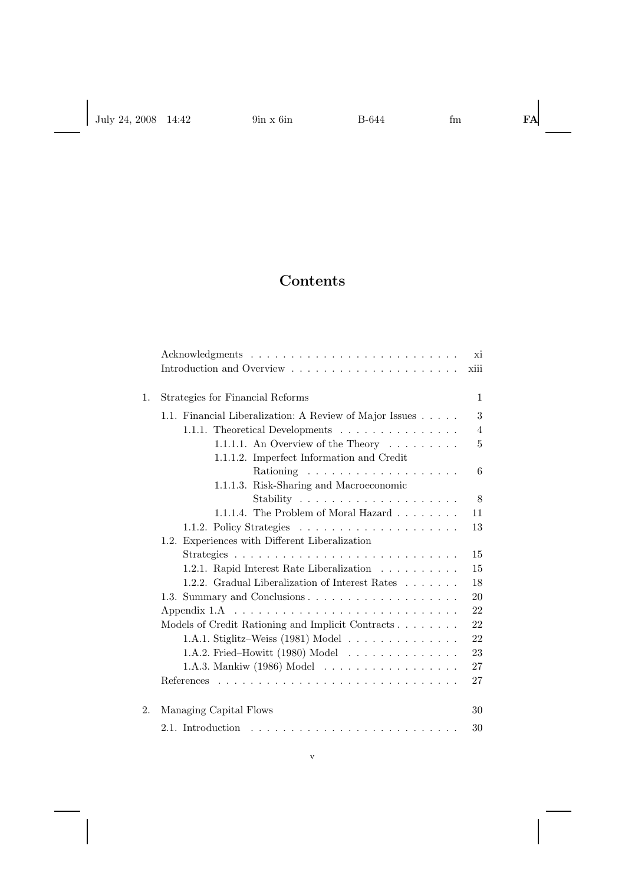## **Contents**

|    |                                                            | хi             |
|----|------------------------------------------------------------|----------------|
|    |                                                            | xiii           |
| 1. | Strategies for Financial Reforms                           | $\mathbf{1}$   |
|    | 1.1. Financial Liberalization: A Review of Major Issues    | 3              |
|    | 1.1.1. Theoretical Developments                            | $\overline{4}$ |
|    | 1.1.1.1. An Overview of the Theory $\dots \dots$           | 5              |
|    | 1.1.1.2. Imperfect Information and Credit                  |                |
|    |                                                            | 6              |
|    | 1.1.1.3. Risk-Sharing and Macroeconomic                    |                |
|    |                                                            | 8              |
|    | 1.1.1.4. The Problem of Moral Hazard                       | 11             |
|    |                                                            | 13             |
|    | 1.2. Experiences with Different Liberalization             |                |
|    |                                                            | 15             |
|    | 1.2.1. Rapid Interest Rate Liberalization                  | 15             |
|    | 1.2.2. Gradual Liberalization of Interest Rates            | 18             |
|    | 1.3. Summary and Conclusions                               | 20             |
|    | Appendix $1.A \t \t \t \t \t \t \t \t$                     | 22             |
|    | Models of Credit Rationing and Implicit Contracts          | 22             |
|    | 1.A.1. Stiglitz-Weiss $(1981)$ Model                       | 22             |
|    | 1.A.2. Fried-Howitt (1980) Model $\dots \dots \dots \dots$ | 23             |
|    | 1.A.3. Mankiw (1986) Model                                 | 27             |
|    |                                                            | 27             |
| 2. | Managing Capital Flows                                     | 30             |
|    |                                                            | 30             |
|    |                                                            |                |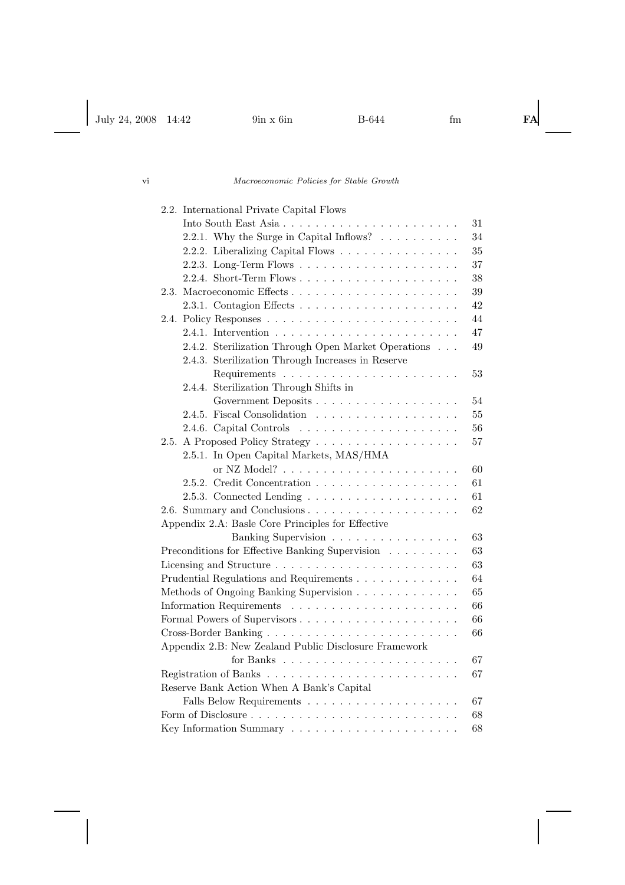| 2.2. International Private Capital Flows                                     |
|------------------------------------------------------------------------------|
| 31                                                                           |
| 2.2.1. Why the Surge in Capital Inflows? $\ldots \ldots \ldots$<br>34        |
| 35<br>2.2.2. Liberalizing Capital Flows                                      |
| 37                                                                           |
| 38                                                                           |
| 39<br>2.3.                                                                   |
| 42                                                                           |
| 44<br>2.4.                                                                   |
| 47                                                                           |
| 2.4.2. Sterilization Through Open Market Operations<br>49                    |
| 2.4.3. Sterilization Through Increases in Reserve                            |
| 53                                                                           |
| 2.4.4. Sterilization Through Shifts in                                       |
| Government Deposits<br>54                                                    |
| 55                                                                           |
| 2.4.6. Capital Controls $\ldots \ldots \ldots \ldots \ldots \ldots$<br>56    |
| A Proposed Policy Strategy<br>57<br>2.5.                                     |
| 2.5.1. In Open Capital Markets, MAS/HMA                                      |
| 60                                                                           |
| 61                                                                           |
| 61                                                                           |
| 2.6. Summary and Conclusions<br>62                                           |
| Appendix 2.A: Basle Core Principles for Effective                            |
| 63<br>Banking Supervision                                                    |
| Preconditions for Effective Banking Supervision $\ldots \ldots \ldots$<br>63 |
| 63                                                                           |
| Prudential Regulations and Requirements<br>64                                |
| Methods of Ongoing Banking Supervision<br>65                                 |
| 66                                                                           |
| 66                                                                           |
| 66                                                                           |
| Appendix 2.B: New Zealand Public Disclosure Framework                        |
| 67                                                                           |
| 67                                                                           |
| Reserve Bank Action When A Bank's Capital                                    |
| 67                                                                           |
| 68                                                                           |
| 68                                                                           |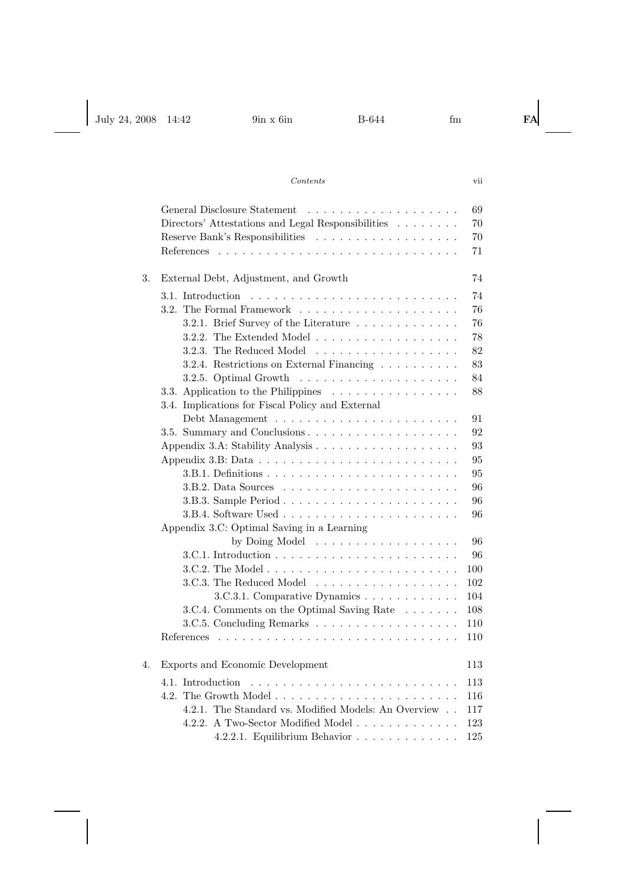|    | 69                                                                             |
|----|--------------------------------------------------------------------------------|
|    | Directors' Attestations and Legal Responsibilities<br>70                       |
|    | 70                                                                             |
|    | 71                                                                             |
| 3. | 74<br>External Debt, Adjustment, and Growth                                    |
|    | 74<br>3.1. Introduction                                                        |
|    | 76                                                                             |
|    | 3.2.1. Brief Survey of the Literature<br>76                                    |
|    | 3.2.2. The Extended Model $\ldots \ldots \ldots \ldots \ldots \ldots$<br>78    |
|    | 3.2.3. The Reduced Model<br>82                                                 |
|    | 3.2.4. Restrictions on External Financing<br>83                                |
|    | 84                                                                             |
|    | 3.3. Application to the Philippines $\ldots \ldots \ldots \ldots \ldots$<br>88 |
|    | 3.4. Implications for Fiscal Policy and External                               |
|    | 91                                                                             |
|    | 92                                                                             |
|    | 93                                                                             |
|    | 95                                                                             |
|    | 95                                                                             |
|    | 96                                                                             |
|    | 96                                                                             |
|    | 96                                                                             |
|    | Appendix 3.C: Optimal Saving in a Learning                                     |
|    | by Doing Model<br>96                                                           |
|    | 96                                                                             |
|    | 100                                                                            |
|    | 3.C.3. The Reduced Model<br>102                                                |
|    | 3.C.3.1. Comparative Dynamics<br>104                                           |
|    | 3.C.4. Comments on the Optimal Saving Rate<br>108                              |
|    | 110                                                                            |
|    | 110                                                                            |
| 4. | Exports and Economic Development<br>113                                        |
|    | 4.1. Introduction<br>113                                                       |
|    | 116                                                                            |
|    | 4.2.1. The Standard vs. Modified Models: An Overview<br>117                    |
|    | 4.2.2. A Two-Sector Modified Model<br>123                                      |
|    | 4.2.2.1. Equilibrium Behavior $\ldots \ldots \ldots \ldots$<br>125             |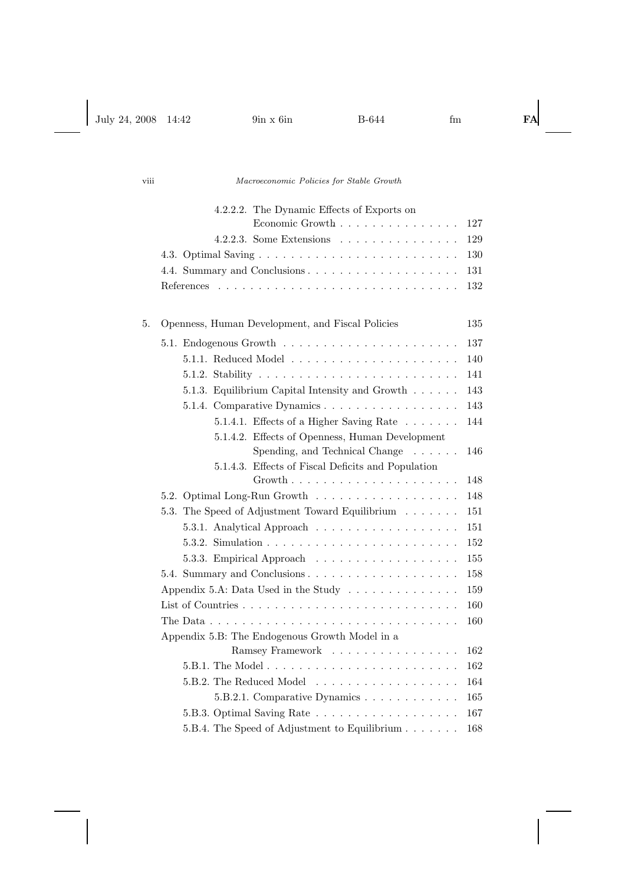|    | 4.2.2.2. The Dynamic Effects of Exports on<br>Economic Growth                           | 127 |
|----|-----------------------------------------------------------------------------------------|-----|
|    | 4.2.2.3. Some Extensions $\ldots \ldots \ldots \ldots \ldots$                           | 129 |
|    |                                                                                         | 130 |
|    | 4.4. Summary and Conclusions                                                            | 131 |
|    | References                                                                              |     |
|    |                                                                                         | 132 |
| 5. | Openness, Human Development, and Fiscal Policies                                        | 135 |
|    |                                                                                         | 137 |
|    |                                                                                         | 140 |
|    |                                                                                         | 141 |
|    | 5.1.3. Equilibrium Capital Intensity and Growth                                         | 143 |
|    | 5.1.4. Comparative Dynamics                                                             | 143 |
|    | 5.1.4.1. Effects of a Higher Saving Rate                                                | 144 |
|    | 5.1.4.2. Effects of Openness, Human Development                                         |     |
|    | Spending, and Technical Change $\phantom{1} \ldots \ldots$                              | 146 |
|    | 5.1.4.3. Effects of Fiscal Deficits and Population                                      |     |
|    | $Growth$                                                                                | 148 |
|    | 5.2. Optimal Long-Run Growth                                                            | 148 |
|    | The Speed of Adjustment Toward Equilibrium<br>5.3.                                      | 151 |
|    | 5.3.1. Analytical Approach                                                              | 151 |
|    |                                                                                         | 152 |
|    | 5.3.3. Empirical Approach                                                               | 155 |
|    | 5.4. Summary and Conclusions                                                            | 158 |
|    | Appendix 5.A: Data Used in the Study $\ldots \ldots \ldots \ldots$                      | 159 |
|    |                                                                                         | 160 |
|    | The Data $\ldots \ldots \ldots \ldots \ldots \ldots \ldots \ldots \ldots \ldots \ldots$ | 160 |
|    | Appendix 5.B: The Endogenous Growth Model in a                                          |     |
|    | Ramsey Framework                                                                        | 162 |
|    |                                                                                         | 162 |
|    | 5.B.2. The Reduced Model                                                                | 164 |
|    | 5.B.2.1. Comparative Dynamics                                                           | 165 |
|    |                                                                                         | 167 |
|    | 5.B.4. The Speed of Adjustment to Equilibrium                                           | 168 |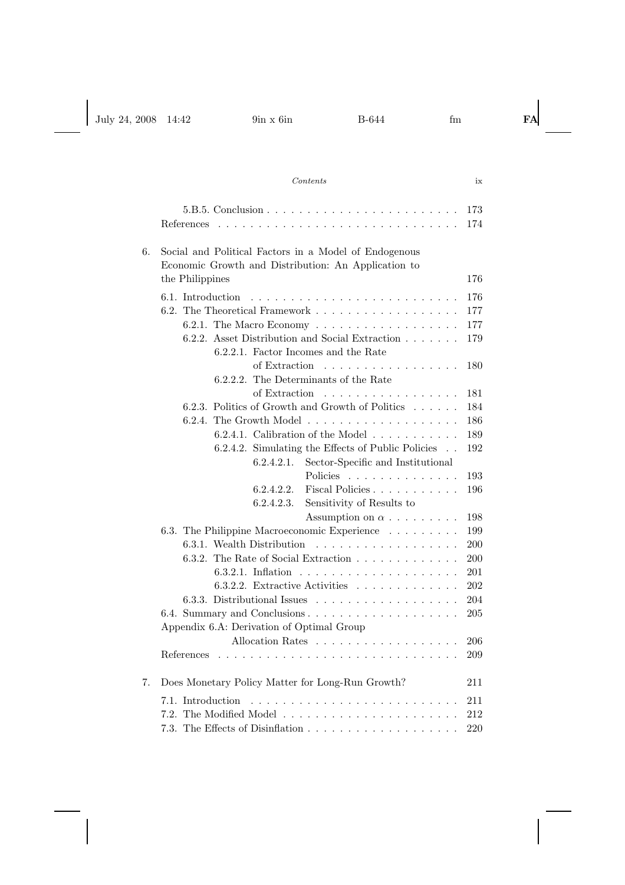|    | 173                                                                                |  |
|----|------------------------------------------------------------------------------------|--|
|    | 174<br>References<br>1.1.1.1.1<br>.                                                |  |
|    |                                                                                    |  |
| 6. | Social and Political Factors in a Model of Endogenous                              |  |
|    | Economic Growth and Distribution: An Application to                                |  |
|    | the Philippines<br>176                                                             |  |
|    | 176<br>6.1. Introduction                                                           |  |
|    | 177                                                                                |  |
|    | 177                                                                                |  |
|    | 6.2.1. The Macro Economy<br>6.2.2. Asset Distribution and Social Extraction<br>179 |  |
|    | 6.2.2.1. Factor Incomes and the Rate                                               |  |
|    | of Extraction $\ldots$ $\ldots$ $\ldots$ $\ldots$ $\ldots$<br>180                  |  |
|    | 6.2.2.2. The Determinants of the Rate                                              |  |
|    |                                                                                    |  |
|    | of Extraction<br>181                                                               |  |
|    | Politics of Growth and Growth of Politics<br>184<br>6.2.3.                         |  |
|    | 6.2.4.<br>186                                                                      |  |
|    | 6.2.4.1. Calibration of the Model $\ldots \ldots \ldots$<br>189                    |  |
|    | 6.2.4.2. Simulating the Effects of Public Policies<br>192                          |  |
|    | Sector-Specific and Institutional<br>6.2.4.2.1.                                    |  |
|    | Policies<br>193                                                                    |  |
|    | Fiscal Policies<br>196<br>6.2.4.2.2.                                               |  |
|    | 6.2.4.2.3.<br>Sensitivity of Results to                                            |  |
|    | Assumption on $\alpha$<br>198                                                      |  |
|    | 6.3. The Philippine Macroeconomic Experience<br>199                                |  |
|    | 6.3.1. Wealth Distribution<br>200                                                  |  |
|    | 6.3.2. The Rate of Social Extraction<br>200                                        |  |
|    | 201                                                                                |  |
|    | 6.3.2.2. Extractive Activities $\ldots \ldots \ldots \ldots$<br>202                |  |
|    | 6.3.3. Distributional Issues $\ldots \ldots \ldots \ldots \ldots$<br>204           |  |
|    | 6.4. Summary and Conclusions<br>205                                                |  |
|    | Appendix 6.A: Derivation of Optimal Group                                          |  |
|    | Allocation Rates<br>206                                                            |  |
|    | 209                                                                                |  |
|    |                                                                                    |  |
| 7. | Does Monetary Policy Matter for Long-Run Growth?<br>211                            |  |
|    | Introduction<br>211<br>7.1.                                                        |  |
|    | 7.2.<br>212                                                                        |  |
|    |                                                                                    |  |
|    | $220\,$<br>7.3.                                                                    |  |